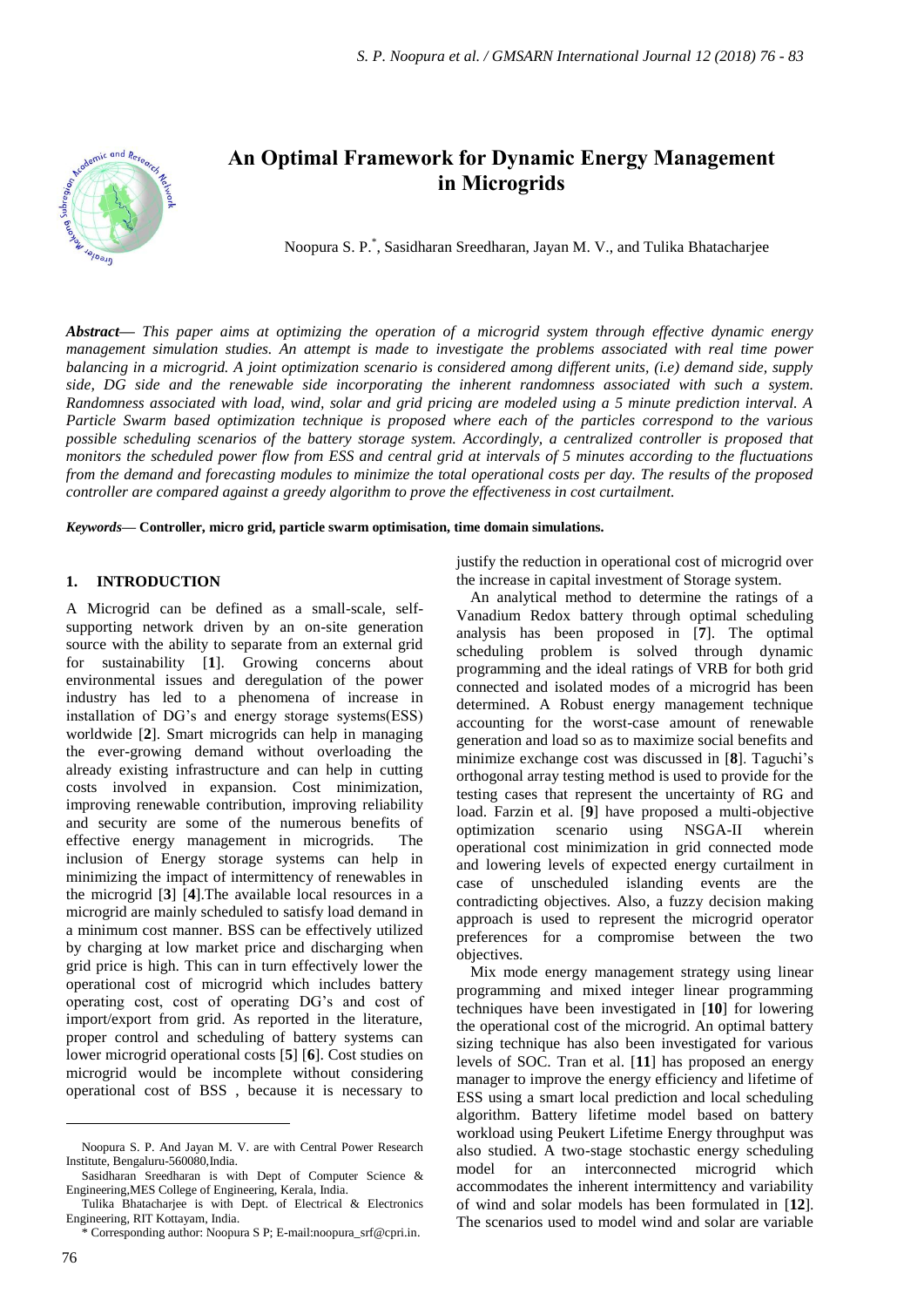

# **An Optimal Framework for Dynamic Energy Management in Microgrids**

Noopura S. P. \* , Sasidharan Sreedharan, Jayan M. V., and Tulika Bhatacharjee

*Abstract***—** *This paper aims at optimizing the operation of a microgrid system through effective dynamic energy management simulation studies. An attempt is made to investigate the problems associated with real time power balancing in a microgrid. A joint optimization scenario is considered among different units, (i.e) demand side, supply side, DG side and the renewable side incorporating the inherent randomness associated with such a system. Randomness associated with load, wind, solar and grid pricing are modeled using a 5 minute prediction interval. A Particle Swarm based optimization technique is proposed where each of the particles correspond to the various possible scheduling scenarios of the battery storage system. Accordingly, a centralized controller is proposed that monitors the scheduled power flow from ESS and central grid at intervals of 5 minutes according to the fluctuations from the demand and forecasting modules to minimize the total operational costs per day. The results of the proposed controller are compared against a greedy algorithm to prove the effectiveness in cost curtailment.*

*Keywords***— Controller, micro grid, particle swarm optimisation, time domain simulations.**

# **1. INTRODUCTION**

A Microgrid can be defined as a small-scale, selfsupporting network driven by an on-site generation source with the ability to separate from an external grid for sustainability [**1**]. Growing concerns about environmental issues and deregulation of the power industry has led to a phenomena of increase in installation of DG's and energy storage systems(ESS) worldwide [**2**]. Smart microgrids can help in managing the ever-growing demand without overloading the already existing infrastructure and can help in cutting costs involved in expansion. Cost minimization, improving renewable contribution, improving reliability and security are some of the numerous benefits of effective energy management in microgrids. The inclusion of Energy storage systems can help in minimizing the impact of intermittency of renewables in the microgrid [**3**] [**4**].The available local resources in a microgrid are mainly scheduled to satisfy load demand in a minimum cost manner. BSS can be effectively utilized by charging at low market price and discharging when grid price is high. This can in turn effectively lower the operational cost of microgrid which includes battery operating cost, cost of operating DG's and cost of import/export from grid. As reported in the literature, proper control and scheduling of battery systems can lower microgrid operational costs [**5**] [**6**]. Cost studies on microgrid would be incomplete without considering operational cost of BSS , because it is necessary to

justify the reduction in operational cost of microgrid over the increase in capital investment of Storage system.

An analytical method to determine the ratings of a Vanadium Redox battery through optimal scheduling analysis has been proposed in [**7**]. The optimal scheduling problem is solved through dynamic programming and the ideal ratings of VRB for both grid connected and isolated modes of a microgrid has been determined. A Robust energy management technique accounting for the worst-case amount of renewable generation and load so as to maximize social benefits and minimize exchange cost was discussed in [**8**]. Taguchi's orthogonal array testing method is used to provide for the testing cases that represent the uncertainty of RG and load. Farzin et al. [**9**] have proposed a multi-objective optimization scenario using NSGA-II wherein operational cost minimization in grid connected mode and lowering levels of expected energy curtailment in case of unscheduled islanding events are the contradicting objectives. Also, a fuzzy decision making approach is used to represent the microgrid operator preferences for a compromise between the two objectives.

Mix mode energy management strategy using linear programming and mixed integer linear programming techniques have been investigated in [**10**] for lowering the operational cost of the microgrid. An optimal battery sizing technique has also been investigated for various levels of SOC. Tran et al. [**11**] has proposed an energy manager to improve the energy efficiency and lifetime of ESS using a smart local prediction and local scheduling algorithm. Battery lifetime model based on battery workload using Peukert Lifetime Energy throughput was also studied. A two-stage stochastic energy scheduling model for an interconnected microgrid which accommodates the inherent intermittency and variability of wind and solar models has been formulated in [**12**]. The scenarios used to model wind and solar are variable

 $\overline{a}$ 

Noopura S. P. And Jayan M. V. are with Central Power Research Institute, Bengaluru-560080,India.

Sasidharan Sreedharan is with Dept of Computer Science & Engineering,MES College of Engineering, Kerala, India.

Tulika Bhatacharjee is with Dept. of Electrical & Electronics Engineering, RIT Kottayam, India.

<sup>\*</sup> Corresponding author: Noopura S P; E-mail:noopura\_srf@cpri.in.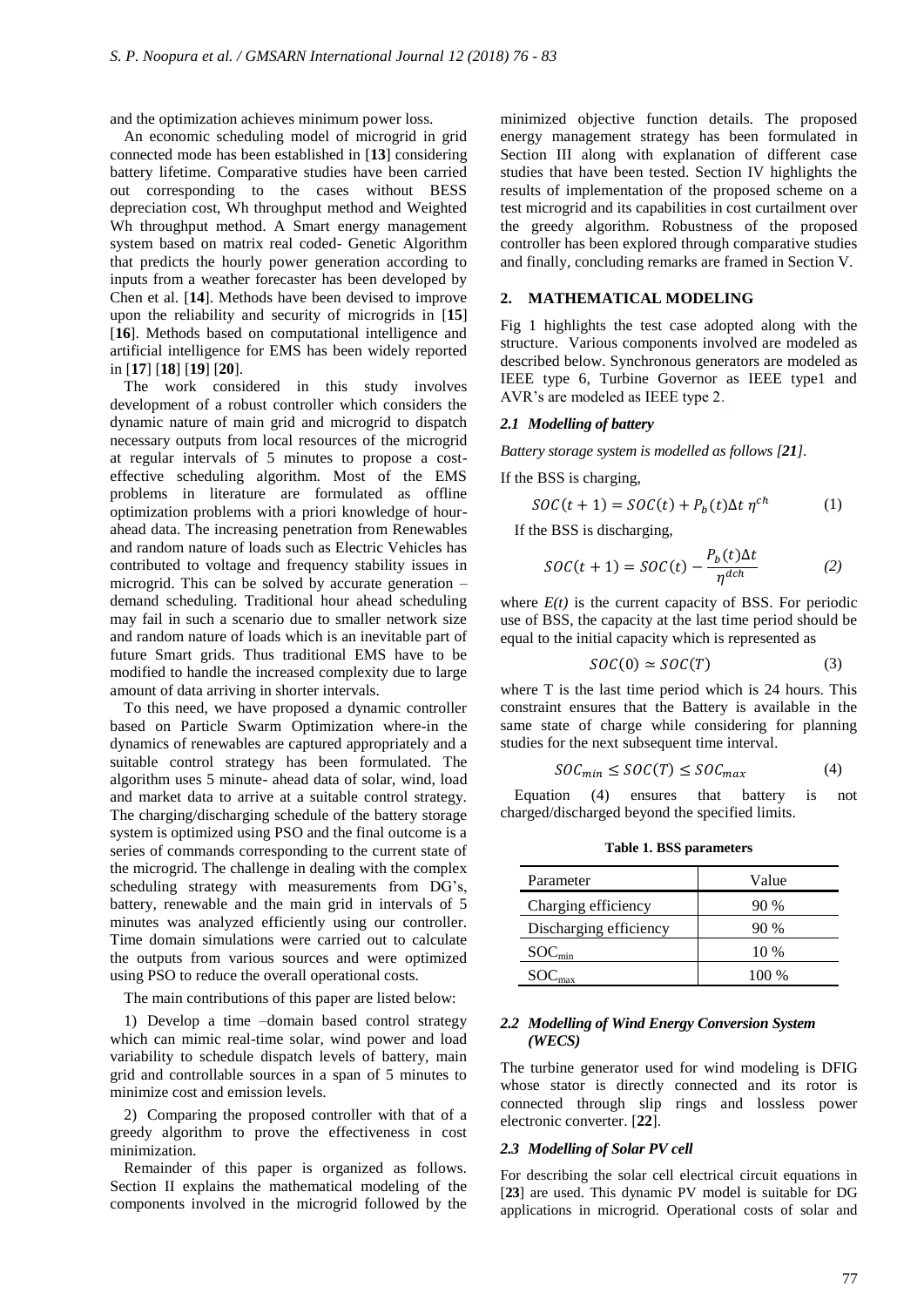and the optimization achieves minimum power loss.

An economic scheduling model of microgrid in grid connected mode has been established in [**13**] considering battery lifetime. Comparative studies have been carried out corresponding to the cases without BESS depreciation cost, Wh throughput method and Weighted Wh throughput method. A Smart energy management system based on matrix real coded- Genetic Algorithm that predicts the hourly power generation according to inputs from a weather forecaster has been developed by Chen et al. [**14**]. Methods have been devised to improve upon the reliability and security of microgrids in [**15**] [**16**]. Methods based on computational intelligence and artificial intelligence for EMS has been widely reported in [**17**] [**18**] [**19**] [**20**].

The work considered in this study involves development of a robust controller which considers the dynamic nature of main grid and microgrid to dispatch necessary outputs from local resources of the microgrid at regular intervals of 5 minutes to propose a costeffective scheduling algorithm. Most of the EMS problems in literature are formulated as offline optimization problems with a priori knowledge of hourahead data. The increasing penetration from Renewables and random nature of loads such as Electric Vehicles has contributed to voltage and frequency stability issues in microgrid. This can be solved by accurate generation – demand scheduling. Traditional hour ahead scheduling may fail in such a scenario due to smaller network size and random nature of loads which is an inevitable part of future Smart grids. Thus traditional EMS have to be modified to handle the increased complexity due to large amount of data arriving in shorter intervals.

To this need, we have proposed a dynamic controller based on Particle Swarm Optimization where-in the dynamics of renewables are captured appropriately and a suitable control strategy has been formulated. The algorithm uses 5 minute- ahead data of solar, wind, load and market data to arrive at a suitable control strategy. The charging/discharging schedule of the battery storage system is optimized using PSO and the final outcome is a series of commands corresponding to the current state of the microgrid. The challenge in dealing with the complex scheduling strategy with measurements from DG's, battery, renewable and the main grid in intervals of 5 minutes was analyzed efficiently using our controller. Time domain simulations were carried out to calculate the outputs from various sources and were optimized using PSO to reduce the overall operational costs.

The main contributions of this paper are listed below:

1) Develop a time –domain based control strategy which can mimic real-time solar, wind power and load variability to schedule dispatch levels of battery, main grid and controllable sources in a span of 5 minutes to minimize cost and emission levels.

2) Comparing the proposed controller with that of a greedy algorithm to prove the effectiveness in cost minimization.

Remainder of this paper is organized as follows. Section II explains the mathematical modeling of the components involved in the microgrid followed by the

minimized objective function details. The proposed energy management strategy has been formulated in Section III along with explanation of different case studies that have been tested. Section IV highlights the results of implementation of the proposed scheme on a test microgrid and its capabilities in cost curtailment over the greedy algorithm. Robustness of the proposed controller has been explored through comparative studies and finally, concluding remarks are framed in Section V.

## **2. MATHEMATICAL MODELING**

Fig 1 highlights the test case adopted along with the structure. Various components involved are modeled as described below. Synchronous generators are modeled as IEEE type 6, Turbine Governor as IEEE type1 and AVR's are modeled as IEEE type 2.

# *2.1 Modelling of battery*

*Battery storage system is modelled as follows [21].*

If the BSS is charging,

$$
SOC(t + 1) = SOC(t) + Pb(t)\Delta t \eta^{ch}
$$
 (1)

If the BSS is discharging,

$$
SOC(t+1) = SOC(t) - \frac{P_b(t)\Delta t}{\eta^{dch}} \tag{2}
$$

where  $E(t)$  is the current capacity of BSS. For periodic use of BSS, the capacity at the last time period should be equal to the initial capacity which is represented as

$$
SOC(0) \simeq SOC(T) \tag{3}
$$

where T is the last time period which is 24 hours. This constraint ensures that the Battery is available in the same state of charge while considering for planning studies for the next subsequent time interval.

$$
SOC_{min} \leq SOC(T) \leq SOC_{max} \tag{4}
$$

Equation (4) ensures that battery is not charged/discharged beyond the specified limits.

**Table 1. BSS parameters**

| Parameter              | Value   |
|------------------------|---------|
| Charging efficiency    | 90%     |
| Discharging efficiency | $90\%$  |
| SOC <sub>min</sub>     | 10 %    |
|                        | $100\%$ |

### *2.2 Modelling of Wind Energy Conversion System (WECS)*

The turbine generator used for wind modeling is DFIG whose stator is directly connected and its rotor is connected through slip rings and lossless power electronic converter. [**22**].

#### *2.3 Modelling of Solar PV cell*

For describing the solar cell electrical circuit equations in [**23**] are used. This dynamic PV model is suitable for DG applications in microgrid. Operational costs of solar and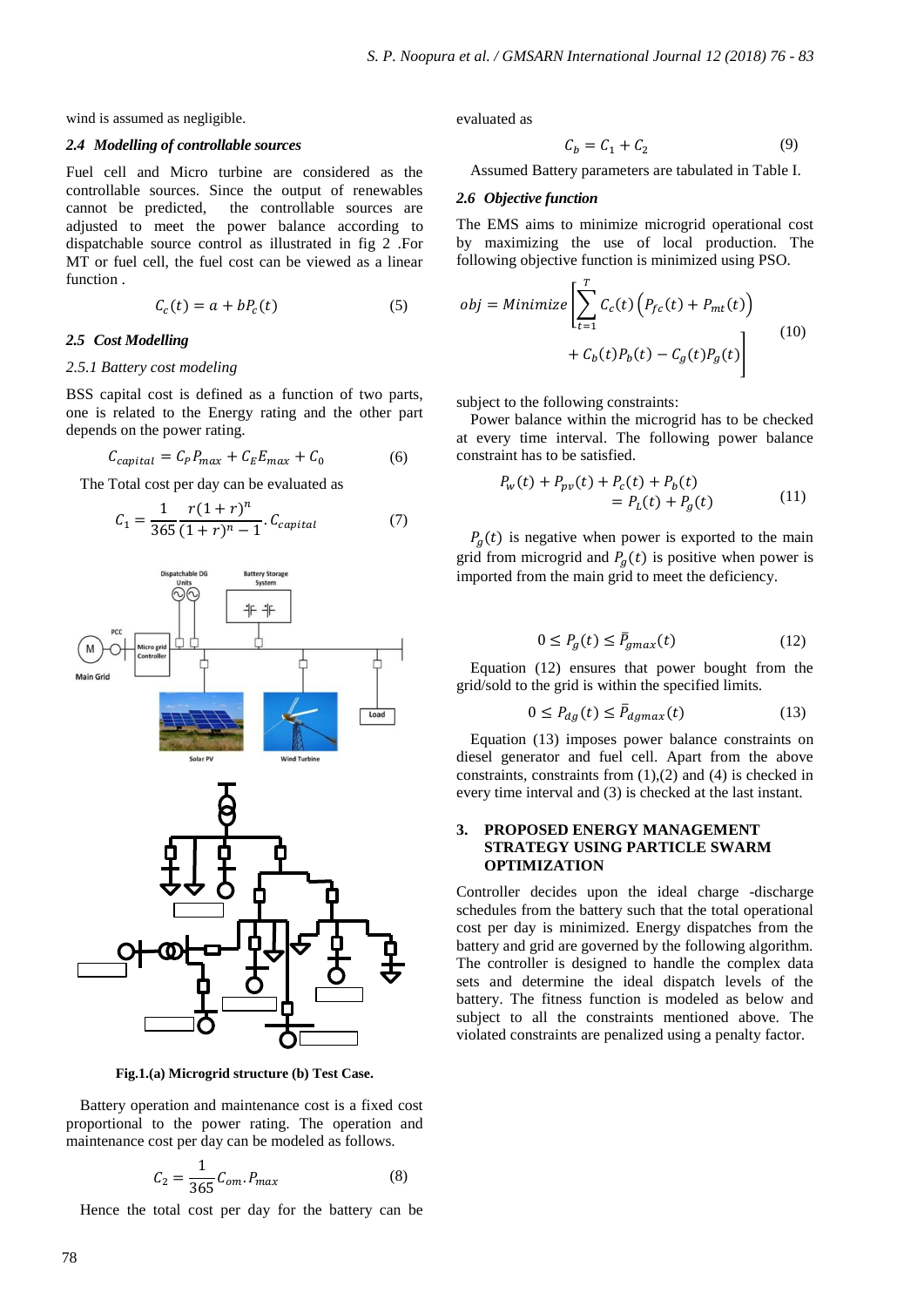wind is assumed as negligible.

## *2.4 Modelling of controllable sources*

Fuel cell and Micro turbine are considered as the controllable sources. Since the output of renewables cannot be predicted, the controllable sources are adjusted to meet the power balance according to dispatchable source control as illustrated in fig 2 .For MT or fuel cell, the fuel cost can be viewed as a linear function .

$$
C_c(t) = a + bP_c(t) \tag{5}
$$

#### *2.5 Cost Modelling*

## *2.5.1 Battery cost modeling*

BSS capital cost is defined as a function of two parts, one is related to the Energy rating and the other part depends on the power rating.

$$
C_{capital} = C_P P_{max} + C_E E_{max} + C_0 \tag{6}
$$

The Total cost per day can be evaluated as

$$
C_1 = \frac{1}{365} \frac{r(1+r)^n}{(1+r)^n - 1} \cdot C_{capital} \tag{7}
$$



**Fig.1.(a) Microgrid structure (b) Test Case.**

Battery operation and maintenance cost is a fixed cost proportional to the power rating. The operation and maintenance cost per day can be modeled as follows.

$$
C_2 = \frac{1}{365} C_{om} P_{max} \tag{8}
$$

Hence the total cost per day for the battery can be

evaluated as

$$
\mathcal{C}_b = \mathcal{C}_1 + \mathcal{C}_2 \tag{9}
$$

Assumed Battery parameters are tabulated in Table I.

#### *2.6 Objective function*

The EMS aims to minimize microgrid operational cost by maximizing the use of local production. The following objective function is minimized using PSO.

$$
obj = Minimize \left[ \sum_{t=1}^{T} C_c(t) \left( P_{fc}(t) + P_{mt}(t) \right) + C_b(t) P_b(t) - C_g(t) P_g(t) \right]
$$
\n(10)

subject to the following constraints:

Power balance within the microgrid has to be checked at every time interval. The following power balance constraint has to be satisfied.

$$
P_w(t) + P_{pv}(t) + P_c(t) + P_b(t)
$$
  
=  $P_L(t) + P_a(t)$  (11)

 $P_a(t)$  is negative when power is exported to the main grid from microgrid and  $P_a(t)$  is positive when power is imported from the main grid to meet the deficiency.

$$
0 \le P_g(t) \le \bar{P}_{gmax}(t) \tag{12}
$$

Equation (12) ensures that power bought from the grid/sold to the grid is within the specified limits.

$$
0 \le P_{dg}(t) \le \bar{P}_{dgmax}(t) \tag{13}
$$

Equation (13) imposes power balance constraints on diesel generator and fuel cell. Apart from the above constraints, constraints from (1),(2) and (4) is checked in every time interval and (3) is checked at the last instant.

# **3. PROPOSED ENERGY MANAGEMENT STRATEGY USING PARTICLE SWARM OPTIMIZATION**

Controller decides upon the ideal charge -discharge schedules from the battery such that the total operational cost per day is minimized. Energy dispatches from the battery and grid are governed by the following algorithm. The controller is designed to handle the complex data sets and determine the ideal dispatch levels of the battery. The fitness function is modeled as below and subject to all the constraints mentioned above. The violated constraints are penalized using a penalty factor.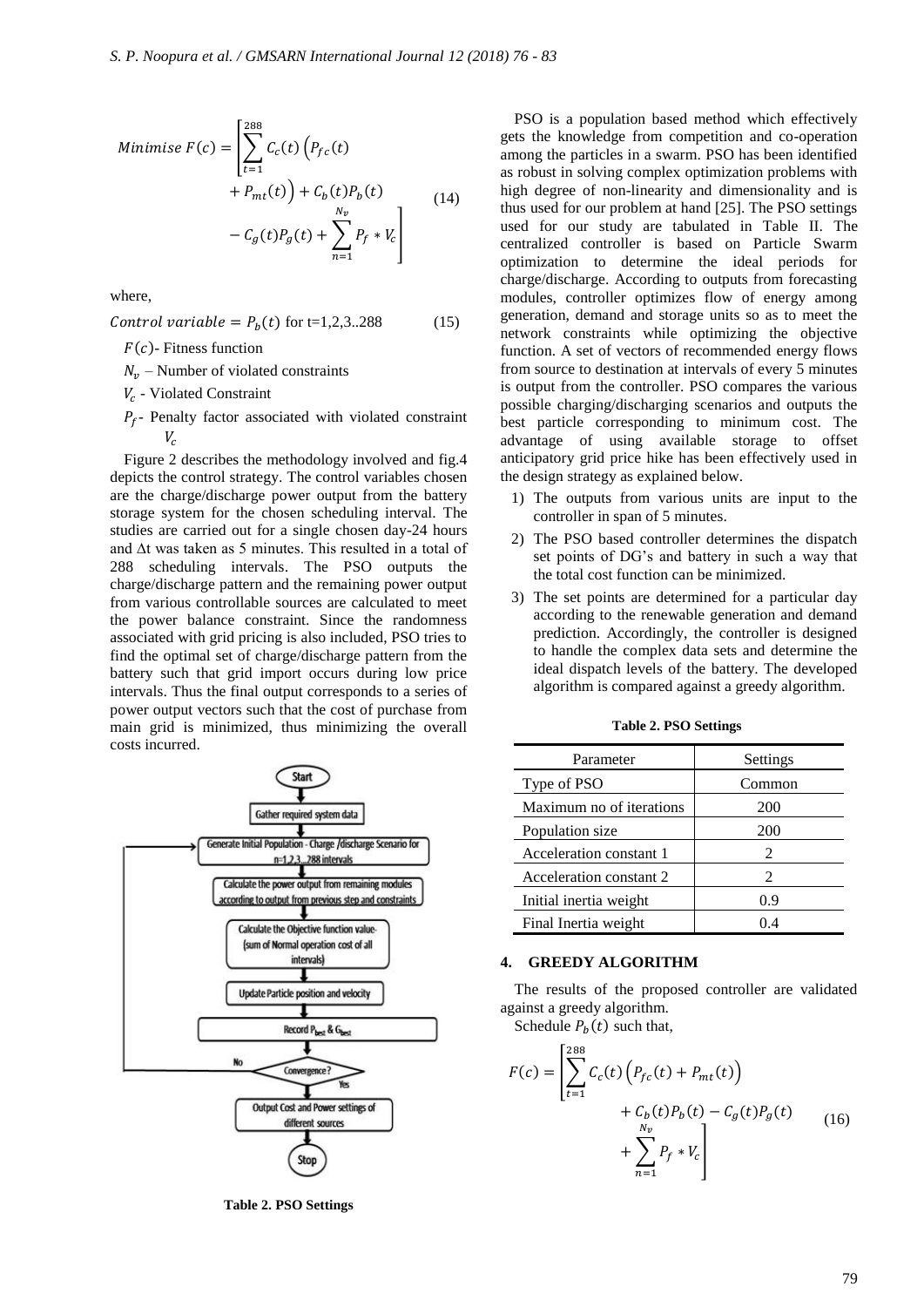Minimise 
$$
F(c) = \left[ \sum_{t=1}^{288} C_c(t) (P_{fc}(t) + P_{mt}(t)) + C_b(t) P_b(t) + C_b(t) P_b(t) - C_g(t) P_g(t) + \sum_{n=1}^{N_v} P_f * V_c \right]
$$
 (14)

where,

Control variable =  $P_b(t)$  for t=1,2,3..288 (15)

 $F(c)$ - Fitness function

 $N_{\nu}$  – Number of violated constraints

- $V_c$  Violated Constraint
- $P_f$  Penalty factor associated with violated constraint V.

Figure 2 describes the methodology involved and fig.4 depicts the control strategy. The control variables chosen are the charge/discharge power output from the battery storage system for the chosen scheduling interval. The studies are carried out for a single chosen day-24 hours and ∆t was taken as 5 minutes. This resulted in a total of 288 scheduling intervals. The PSO outputs the charge/discharge pattern and the remaining power output from various controllable sources are calculated to meet the power balance constraint. Since the randomness associated with grid pricing is also included, PSO tries to find the optimal set of charge/discharge pattern from the battery such that grid import occurs during low price intervals. Thus the final output corresponds to a series of power output vectors such that the cost of purchase from main grid is minimized, thus minimizing the overall costs incurred.



**Table 2. PSO Settings**

PSO is a population based method which effectively gets the knowledge from competition and co-operation among the particles in a swarm. PSO has been identified as robust in solving complex optimization problems with high degree of non-linearity and dimensionality and is thus used for our problem at hand [25]. The PSO settings used for our study are tabulated in Table II. The centralized controller is based on Particle Swarm optimization to determine the ideal periods for charge/discharge. According to outputs from forecasting modules, controller optimizes flow of energy among generation, demand and storage units so as to meet the network constraints while optimizing the objective function. A set of vectors of recommended energy flows from source to destination at intervals of every 5 minutes is output from the controller. PSO compares the various possible charging/discharging scenarios and outputs the best particle corresponding to minimum cost. The advantage of using available storage to offset anticipatory grid price hike has been effectively used in the design strategy as explained below.

- 1) The outputs from various units are input to the controller in span of 5 minutes.
- 2) The PSO based controller determines the dispatch set points of DG's and battery in such a way that the total cost function can be minimized.
- 3) The set points are determined for a particular day according to the renewable generation and demand prediction. Accordingly, the controller is designed to handle the complex data sets and determine the ideal dispatch levels of the battery. The developed algorithm is compared against a greedy algorithm.

| Parameter                | Settings                    |
|--------------------------|-----------------------------|
| Type of PSO              | Common                      |
| Maximum no of iterations | 200                         |
| Population size          | 200                         |
| Acceleration constant 1  | 2                           |
| Acceleration constant 2  | $\mathcal{D}_{\mathcal{A}}$ |
| Initial inertia weight   | 0.9                         |
| Final Inertia weight     | 04                          |

**Table 2. PSO Settings** 

## **4. GREEDY ALGORITHM**

The results of the proposed controller are validated against a greedy algorithm.

Schedule  $P_h(t)$  such that,

$$
F(c) = \left[ \sum_{t=1}^{288} C_c(t) \left( P_{fc}(t) + P_{mt}(t) \right) + C_b(t) P_b(t) - C_g(t) P_g(t) + \sum_{n=1}^{N_v} P_f * V_c \right]
$$
(16)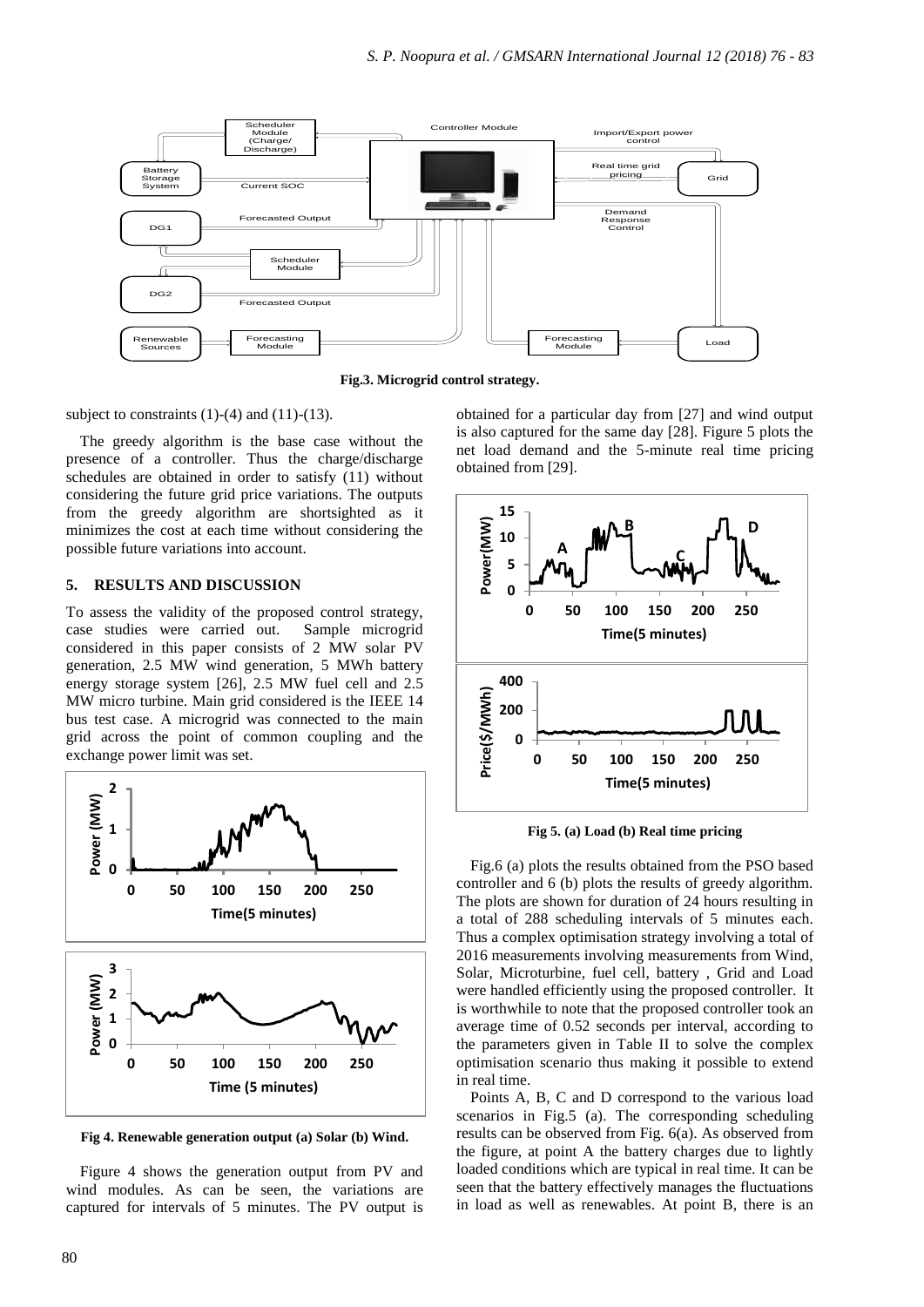

**Fig.3. Microgrid control strategy.**

subject to constraints  $(1)-(4)$  and  $(11)-(13)$ .

The greedy algorithm is the base case without the presence of a controller. Thus the charge/discharge schedules are obtained in order to satisfy (11) without considering the future grid price variations. The outputs from the greedy algorithm are shortsighted as it minimizes the cost at each time without considering the possible future variations into account.

# **5. RESULTS AND DISCUSSION**

To assess the validity of the proposed control strategy, case studies were carried out. Sample microgrid considered in this paper consists of 2 MW solar PV generation, 2.5 MW wind generation, 5 MWh battery energy storage system [26], 2.5 MW fuel cell and 2.5 MW micro turbine. Main grid considered is the IEEE 14 bus test case. A microgrid was connected to the main grid across the point of common coupling and the exchange power limit was set.



**Fig 4. Renewable generation output (a) Solar (b) Wind.**

Figure 4 shows the generation output from PV and wind modules. As can be seen, the variations are captured for intervals of 5 minutes. The PV output is

obtained for a particular day from [27] and wind output is also captured for the same day [28]. Figure 5 plots the net load demand and the 5-minute real time pricing obtained from [29].



**Fig 5. (a) Load (b) Real time pricing**

Fig.6 (a) plots the results obtained from the PSO based controller and 6 (b) plots the results of greedy algorithm. The plots are shown for duration of 24 hours resulting in a total of 288 scheduling intervals of 5 minutes each. Thus a complex optimisation strategy involving a total of 2016 measurements involving measurements from Wind, Solar, Microturbine, fuel cell, battery , Grid and Load were handled efficiently using the proposed controller. It is worthwhile to note that the proposed controller took an average time of 0.52 seconds per interval, according to the parameters given in Table II to solve the complex optimisation scenario thus making it possible to extend in real time.

Points A, B, C and D correspond to the various load scenarios in Fig.5 (a). The corresponding scheduling results can be observed from Fig. 6(a). As observed from the figure, at point A the battery charges due to lightly loaded conditions which are typical in real time. It can be seen that the battery effectively manages the fluctuations in load as well as renewables. At point B, there is an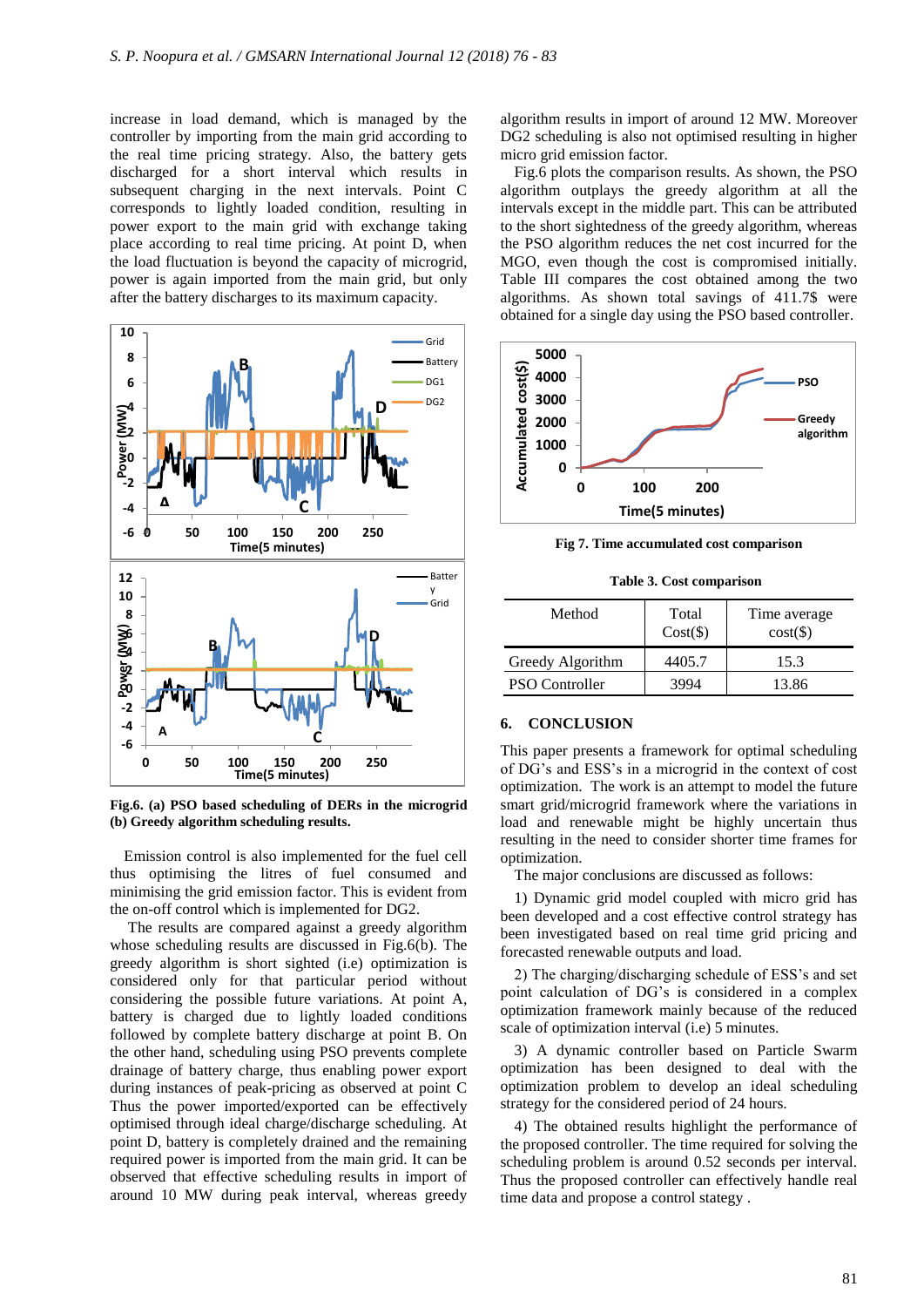increase in load demand, which is managed by the controller by importing from the main grid according to the real time pricing strategy. Also, the battery gets discharged for a short interval which results in subsequent charging in the next intervals. Point C corresponds to lightly loaded condition, resulting in power export to the main grid with exchange taking place according to real time pricing. At point D, when the load fluctuation is beyond the capacity of microgrid, power is again imported from the main grid, but only after the battery discharges to its maximum capacity.



**Fig.6. (a) PSO based scheduling of DERs in the microgrid (b) Greedy algorithm scheduling results.**

Emission control is also implemented for the fuel cell thus optimising the litres of fuel consumed and minimising the grid emission factor. This is evident from the on-off control which is implemented for DG2.

The results are compared against a greedy algorithm whose scheduling results are discussed in Fig.6(b). The greedy algorithm is short sighted (i.e) optimization is considered only for that particular period without considering the possible future variations. At point A, battery is charged due to lightly loaded conditions followed by complete battery discharge at point B. On the other hand, scheduling using PSO prevents complete drainage of battery charge, thus enabling power export during instances of peak-pricing as observed at point C Thus the power imported/exported can be effectively optimised through ideal charge/discharge scheduling. At point D, battery is completely drained and the remaining required power is imported from the main grid. It can be observed that effective scheduling results in import of around 10 MW during peak interval, whereas greedy

algorithm results in import of around 12 MW. Moreover DG2 scheduling is also not optimised resulting in higher micro grid emission factor.

Fig.6 plots the comparison results. As shown, the PSO algorithm outplays the greedy algorithm at all the intervals except in the middle part. This can be attributed to the short sightedness of the greedy algorithm, whereas the PSO algorithm reduces the net cost incurred for the MGO, even though the cost is compromised initially. Table III compares the cost obtained among the two algorithms. As shown total savings of 411.7\$ were obtained for a single day using the PSO based controller.



**Fig 7. Time accumulated cost comparison**

**Table 3. Cost comparison**

| Method                | Total<br>$Cost(\$))$ | Time average<br>$cost(\$))$ |
|-----------------------|----------------------|-----------------------------|
| Greedy Algorithm      | 4405.7               | 15.3                        |
| <b>PSO Controller</b> |                      | 13.86                       |

## **6. CONCLUSION**

This paper presents a framework for optimal scheduling of DG's and ESS's in a microgrid in the context of cost optimization. The work is an attempt to model the future smart grid/microgrid framework where the variations in load and renewable might be highly uncertain thus resulting in the need to consider shorter time frames for optimization.

The major conclusions are discussed as follows:

1) Dynamic grid model coupled with micro grid has been developed and a cost effective control strategy has been investigated based on real time grid pricing and forecasted renewable outputs and load.

2) The charging/discharging schedule of ESS's and set point calculation of DG's is considered in a complex optimization framework mainly because of the reduced scale of optimization interval (i.e) 5 minutes.

3) A dynamic controller based on Particle Swarm optimization has been designed to deal with the optimization problem to develop an ideal scheduling strategy for the considered period of 24 hours.

4) The obtained results highlight the performance of the proposed controller. The time required for solving the scheduling problem is around 0.52 seconds per interval. Thus the proposed controller can effectively handle real time data and propose a control stategy .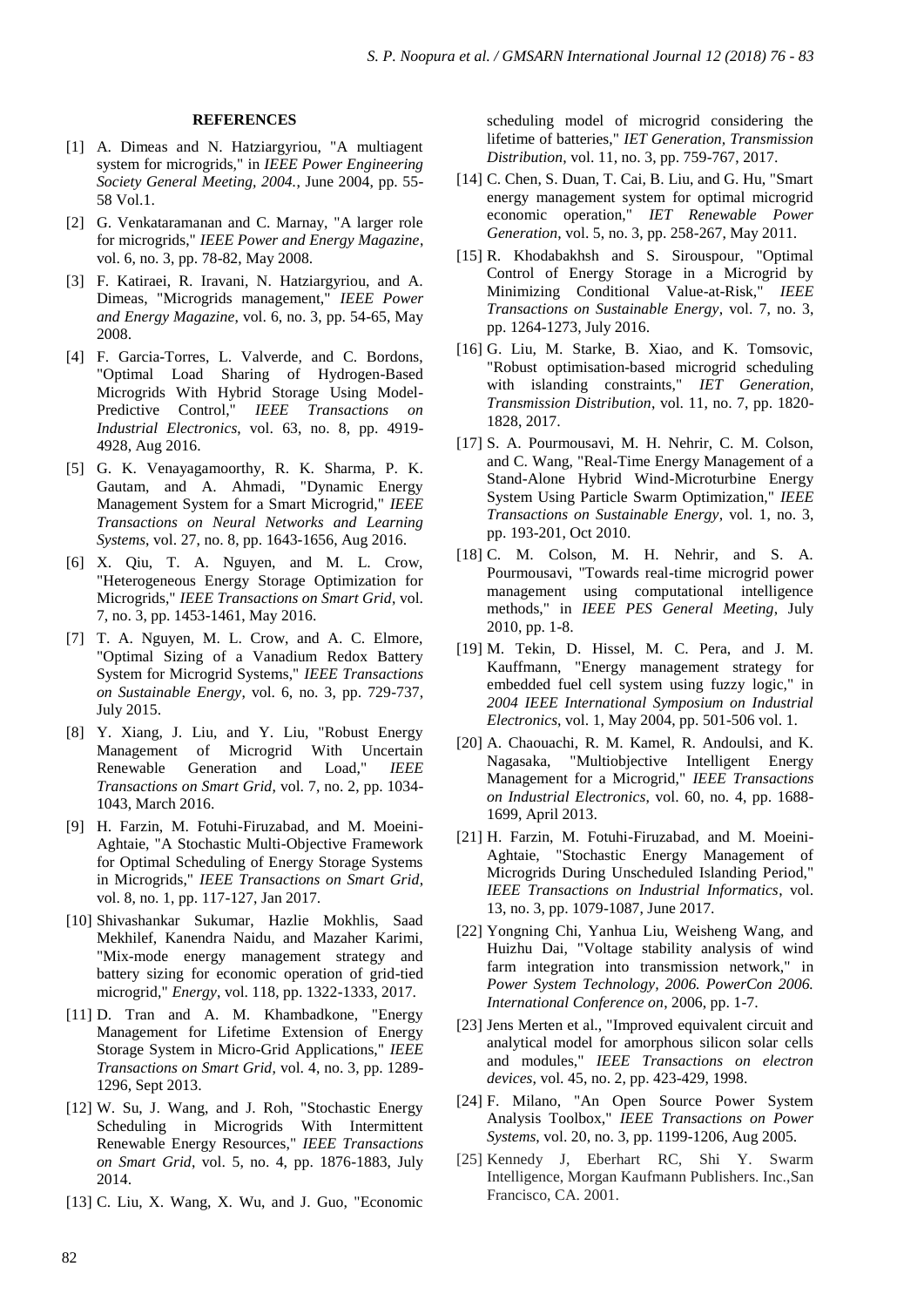#### **REFERENCES**

- [1] A. Dimeas and N. Hatziargyriou, "A multiagent system for microgrids," in *IEEE Power Engineering Society General Meeting, 2004.*, June 2004, pp. 55- 58 Vol.1.
- [2] G. Venkataramanan and C. Marnay, "A larger role for microgrids," *IEEE Power and Energy Magazine*, vol. 6, no. 3, pp. 78-82, May 2008.
- [3] F. Katiraei, R. Iravani, N. Hatziargyriou, and A. Dimeas, "Microgrids management," *IEEE Power and Energy Magazine*, vol. 6, no. 3, pp. 54-65, May 2008.
- [4] F. Garcia-Torres, L. Valverde, and C. Bordons, "Optimal Load Sharing of Hydrogen-Based Microgrids With Hybrid Storage Using Model-Predictive Control," *IEEE Transactions on Industrial Electronics*, vol. 63, no. 8, pp. 4919- 4928, Aug 2016.
- [5] G. K. Venayagamoorthy, R. K. Sharma, P. K. Gautam, and A. Ahmadi, "Dynamic Energy Management System for a Smart Microgrid," *IEEE Transactions on Neural Networks and Learning Systems*, vol. 27, no. 8, pp. 1643-1656, Aug 2016.
- [6] X. Qiu, T. A. Nguyen, and M. L. Crow, "Heterogeneous Energy Storage Optimization for Microgrids," *IEEE Transactions on Smart Grid*, vol. 7, no. 3, pp. 1453-1461, May 2016.
- [7] T. A. Nguyen, M. L. Crow, and A. C. Elmore, "Optimal Sizing of a Vanadium Redox Battery System for Microgrid Systems," *IEEE Transactions on Sustainable Energy*, vol. 6, no. 3, pp. 729-737, July 2015.
- [8] Y. Xiang, J. Liu, and Y. Liu, "Robust Energy Management of Microgrid With Uncertain Renewable Generation and Load," *IEEE Transactions on Smart Grid*, vol. 7, no. 2, pp. 1034- 1043, March 2016.
- [9] H. Farzin, M. Fotuhi-Firuzabad, and M. Moeini-Aghtaie, "A Stochastic Multi-Objective Framework for Optimal Scheduling of Energy Storage Systems in Microgrids," *IEEE Transactions on Smart Grid*, vol. 8, no. 1, pp. 117-127, Jan 2017.
- [10] Shivashankar Sukumar, Hazlie Mokhlis, Saad Mekhilef, Kanendra Naidu, and Mazaher Karimi, "Mix-mode energy management strategy and battery sizing for economic operation of grid-tied microgrid," *Energy*, vol. 118, pp. 1322-1333, 2017.
- [11] D. Tran and A. M. Khambadkone, "Energy Management for Lifetime Extension of Energy Storage System in Micro-Grid Applications," *IEEE Transactions on Smart Grid*, vol. 4, no. 3, pp. 1289- 1296, Sept 2013.
- [12] W. Su, J. Wang, and J. Roh, "Stochastic Energy Scheduling in Microgrids With Intermittent Renewable Energy Resources," *IEEE Transactions on Smart Grid*, vol. 5, no. 4, pp. 1876-1883, July 2014.
- [13] C. Liu, X. Wang, X. Wu, and J. Guo, "Economic

scheduling model of microgrid considering the lifetime of batteries," *IET Generation, Transmission Distribution*, vol. 11, no. 3, pp. 759-767, 2017.

- [14] C. Chen, S. Duan, T. Cai, B. Liu, and G. Hu, "Smart" energy management system for optimal microgrid economic operation," *IET Renewable Power Generation*, vol. 5, no. 3, pp. 258-267, May 2011.
- [15] R. Khodabakhsh and S. Sirouspour, "Optimal Control of Energy Storage in a Microgrid by Minimizing Conditional Value-at-Risk," *IEEE Transactions on Sustainable Energy*, vol. 7, no. 3, pp. 1264-1273, July 2016.
- [16] G. Liu, M. Starke, B. Xiao, and K. Tomsovic, "Robust optimisation-based microgrid scheduling with islanding constraints," *IET Generation, Transmission Distribution*, vol. 11, no. 7, pp. 1820- 1828, 2017.
- [17] S. A. Pourmousavi, M. H. Nehrir, C. M. Colson, and C. Wang, "Real-Time Energy Management of a Stand-Alone Hybrid Wind-Microturbine Energy System Using Particle Swarm Optimization," *IEEE Transactions on Sustainable Energy*, vol. 1, no. 3, pp. 193-201, Oct 2010.
- [18] C. M. Colson, M. H. Nehrir, and S. A. Pourmousavi, "Towards real-time microgrid power management using computational intelligence methods," in *IEEE PES General Meeting*, July 2010, pp. 1-8.
- [19] M. Tekin, D. Hissel, M. C. Pera, and J. M. Kauffmann, "Energy management strategy for embedded fuel cell system using fuzzy logic," in *2004 IEEE International Symposium on Industrial Electronics*, vol. 1, May 2004, pp. 501-506 vol. 1.
- [20] A. Chaouachi, R. M. Kamel, R. Andoulsi, and K. Nagasaka, "Multiobjective Intelligent Energy Management for a Microgrid," *IEEE Transactions on Industrial Electronics*, vol. 60, no. 4, pp. 1688- 1699, April 2013.
- [21] H. Farzin, M. Fotuhi-Firuzabad, and M. Moeini-Aghtaie, "Stochastic Energy Management of Microgrids During Unscheduled Islanding Period," *IEEE Transactions on Industrial Informatics*, vol. 13, no. 3, pp. 1079-1087, June 2017.
- [22] Yongning Chi, Yanhua Liu, Weisheng Wang, and Huizhu Dai, "Voltage stability analysis of wind farm integration into transmission network," in *Power System Technology, 2006. PowerCon 2006. International Conference on*, 2006, pp. 1-7.
- [23] Jens Merten et al., "Improved equivalent circuit and analytical model for amorphous silicon solar cells and modules," *IEEE Transactions on electron devices*, vol. 45, no. 2, pp. 423-429, 1998.
- [24] F. Milano, "An Open Source Power System Analysis Toolbox," *IEEE Transactions on Power Systems*, vol. 20, no. 3, pp. 1199-1206, Aug 2005.
- [25] Kennedy J, Eberhart RC, Shi Y. Swarm Intelligence, Morgan Kaufmann Publishers. Inc.,San Francisco, CA. 2001.